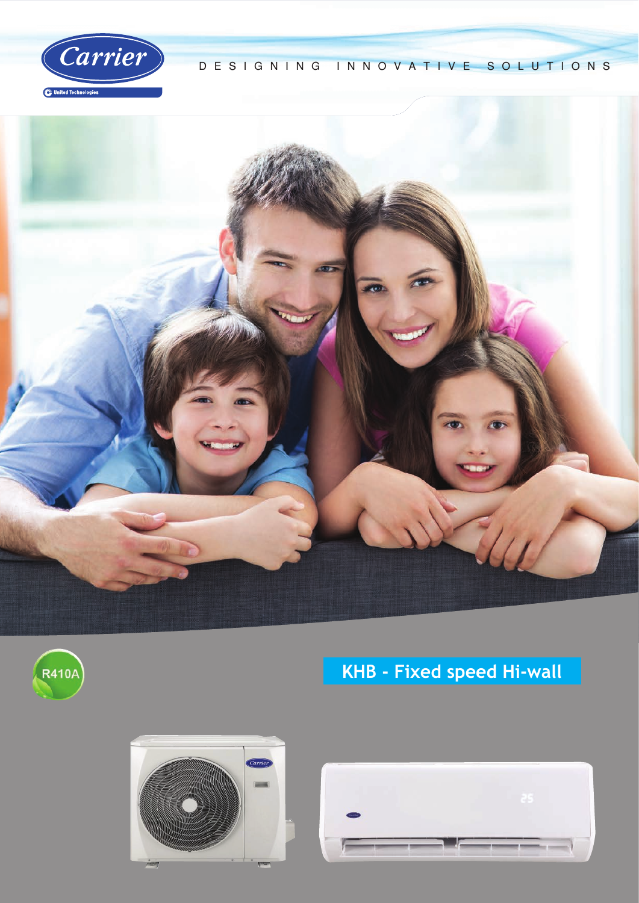

#### DESIGNING INNOVATIVE SOLUTIONS





# **KHB - Fixed speed Hi-wall**



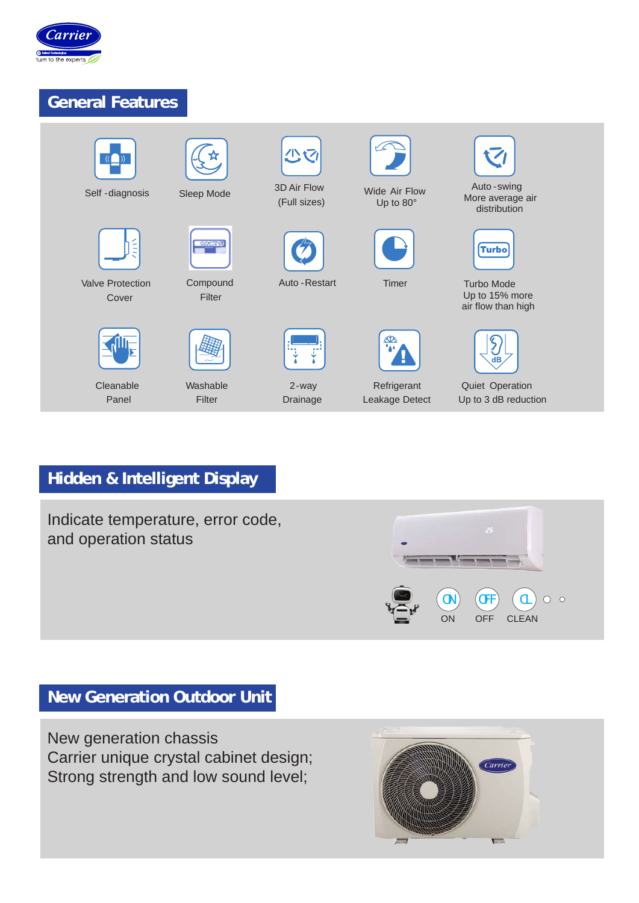

## **General Features**



## **Hidden & Intelligent Display**

Indicate temperature, error code, and operation status



## **New Generation Outdoor Unit**

New generation chassis Carrier unique crystal cabinet design; Strong strength and low sound level;

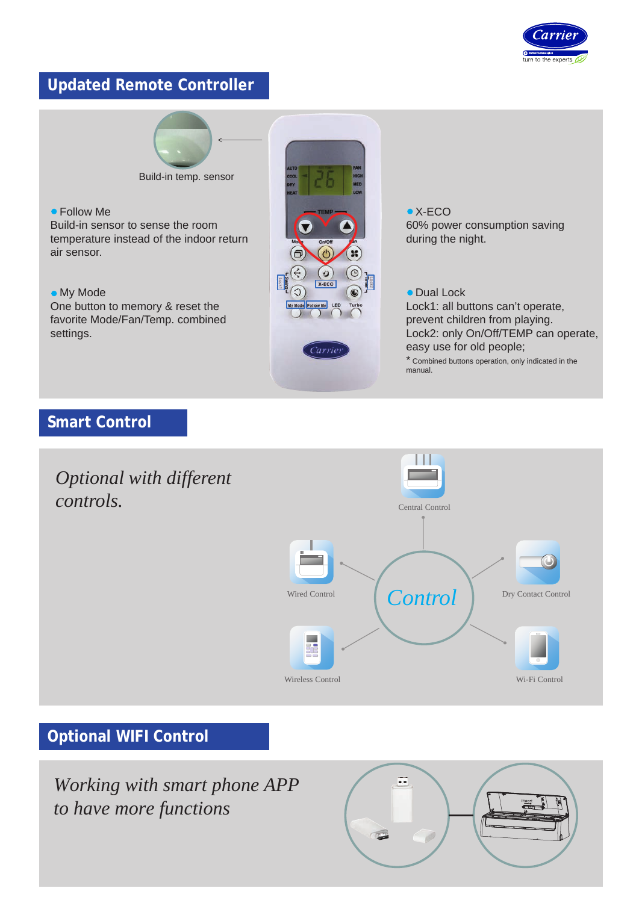

## **Updated Remote Controller**



Build-in temp. sensor

 Follow Me Build-in sensor to sense the room temperature instead of the indoor return air sensor.

 My Mode One button to memory & reset the favorite Mode/Fan/Temp. combined settings.



● X-ECO 60% power consumption saving during the night.

#### • Dual Lock

Lock1: all buttons can't operate, prevent children from playing. Lock2: only On/Off/TEMP can operate, easy use for old people;

\* Combined buttons operation, only indicated in the manual.

#### **Smart Control**



#### **Optional WIFI Control**

*Working with smart phone APP to have more functions*